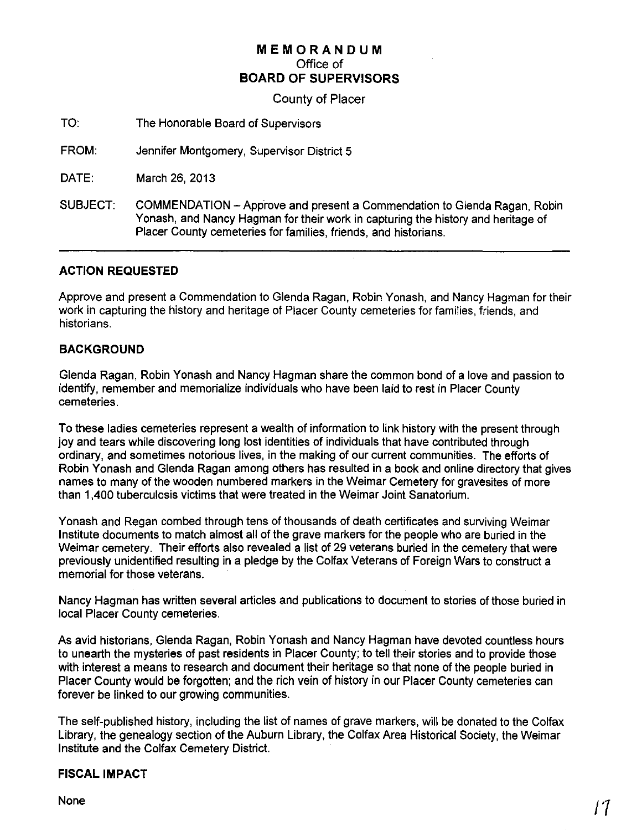# **MEMORANDUM** Office of **BOARD OF SUPERVISORS**

County of Placer

TO: The Honorable Board of Supervisors

FROM: Jennifer Montgomery, Supervisor District 5

DATE: March 26, 2013

SUBJECT: COMMENDATION -Approve and present a Commendation to Glenda Ragan, Robin Yonash, and Nancy Hagman for their work in capturing the history and heritage of Placer County cemeteries for families, friends, and historians.

## **ACTION REQUESTED**

Approve and present a Commendation to Glenda Ragan, Robin Yonash, and Nancy Hagman for their work in capturing the history and heritage of Placer County cemeteries for families, friends, and historians.

## **BACKGROUND**

Glenda Ragan, Robin Yonash and Nancy Hagman share the common bond of a love and passion to identify, remember and memorialize individuals who have been laid to rest in Placer County cemeteries.

**To** these ladies cemeteries represent a wealth of information to link history with the present through joy and tears while discovering long lost identities of individuals that have contributed through ordinary, and sometimes notorious lives, in the making of our current communities. The efforts of Robin Yonash and Glenda Ragan among others has resulted in a book and online directory that gives names to many of the wooden numbered markers in the Weimar Cemetery for gravesites of more than 1,400 tuberculosis victims that were treated in the Weimar Joint Sanatorium.

Yonash and Regan combed through tens of thousands of death certificates and surviving Weimar Institute documents to match almost all of the grave markers for the people who are buried in the Weimar cemetery. Their efforts also revealed a list of 29 veterans buried in the cemetery that were previously unidentified resulting in a pledge by the Colfax Veterans of Foreign Wars to construct a memorial for those veterans.

Nancy Hagman has written several articles and publications to document to stories of those buried in local Placer County cemeteries.

As avid historians, Glenda Ragan, Robin Yonash and Nancy Hagman have devoted countless hours to unearth the mysteries of past residents in Placer County; to tell their stories and to provide those with interest a means to research and document their heritage so that none of the people buried in Placer County would be forgotten; and the rich vein of history in our Placer County cemeteries can forever be linked to our growing communities.

The self-published history, including the list of names of grave markers, will be donated to the Colfax Library, the genealogy section of the Auburn Library, the Colfax Area Historical Society, the Weimar Institute and the Colfax Cemetery District.

#### **FISCAL IMPACT**